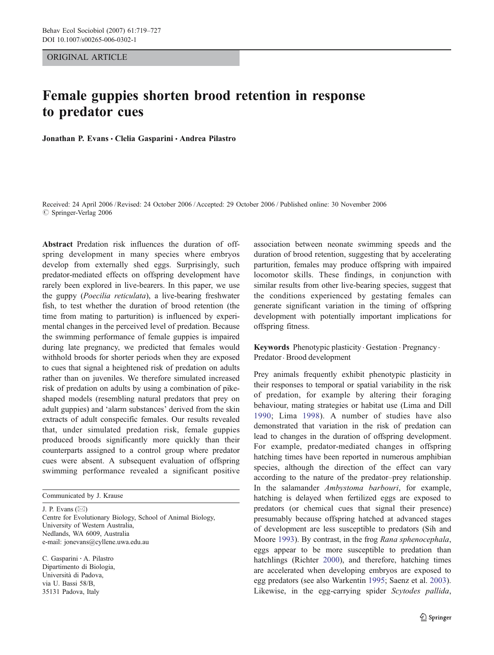ORIGINAL ARTICLE

# Female guppies shorten brood retention in response to predator cues

Jonathan P. Evans · Clelia Gasparini · Andrea Pilastro

Received: 24 April 2006 /Revised: 24 October 2006 / Accepted: 29 October 2006 / Published online: 30 November 2006  $\oslash$  Springer-Verlag 2006

Abstract Predation risk influences the duration of offspring development in many species where embryos develop from externally shed eggs. Surprisingly, such predator-mediated effects on offspring development have rarely been explored in live-bearers. In this paper, we use the guppy (Poecilia reticulata), a live-bearing freshwater fish, to test whether the duration of brood retention (the time from mating to parturition) is influenced by experimental changes in the perceived level of predation. Because the swimming performance of female guppies is impaired during late pregnancy, we predicted that females would withhold broods for shorter periods when they are exposed to cues that signal a heightened risk of predation on adults rather than on juveniles. We therefore simulated increased risk of predation on adults by using a combination of pikeshaped models (resembling natural predators that prey on adult guppies) and 'alarm substances' derived from the skin extracts of adult conspecific females. Our results revealed that, under simulated predation risk, female guppies produced broods significantly more quickly than their counterparts assigned to a control group where predator cues were absent. A subsequent evaluation of offspring swimming performance revealed a significant positive

Communicated by J. Krause

J. P. Evans  $(\boxtimes)$ Centre for Evolutionary Biology, School of Animal Biology, University of Western Australia, Nedlands, WA 6009, Australia e-mail: jonevans@cyllene.uwa.edu.au

C. Gasparini : A. Pilastro Dipartimento di Biologia, Università di Padova, via U. Bassi 58/B, 35131 Padova, Italy

association between neonate swimming speeds and the duration of brood retention, suggesting that by accelerating parturition, females may produce offspring with impaired locomotor skills. These findings, in conjunction with similar results from other live-bearing species, suggest that the conditions experienced by gestating females can generate significant variation in the timing of offspring development with potentially important implications for offspring fitness.

Keywords Phenotypic plasticity . Gestation . Pregnancy . Predator. Brood development

Prey animals frequently exhibit phenotypic plasticity in their responses to temporal or spatial variability in the risk of predation, for example by altering their foraging behaviour, mating strategies or habitat use (Lima and Dill [1990](#page-7-0); Lima [1998\)](#page-7-0). A number of studies have also demonstrated that variation in the risk of predation can lead to changes in the duration of offspring development. For example, predator-mediated changes in offspring hatching times have been reported in numerous amphibian species, although the direction of the effect can vary according to the nature of the predator–prey relationship. In the salamander Ambystoma barbouri, for example, hatching is delayed when fertilized eggs are exposed to predators (or chemical cues that signal their presence) presumably because offspring hatched at advanced stages of development are less susceptible to predators (Sih and Moore [1993](#page-8-0)). By contrast, in the frog Rana sphenocephala, eggs appear to be more susceptible to predation than hatchlings (Richter [2000\)](#page-8-0), and therefore, hatching times are accelerated when developing embryos are exposed to egg predators (see also Warkentin [1995](#page-8-0); Saenz et al. [2003\)](#page-8-0). Likewise, in the egg-carrying spider Scytodes pallida,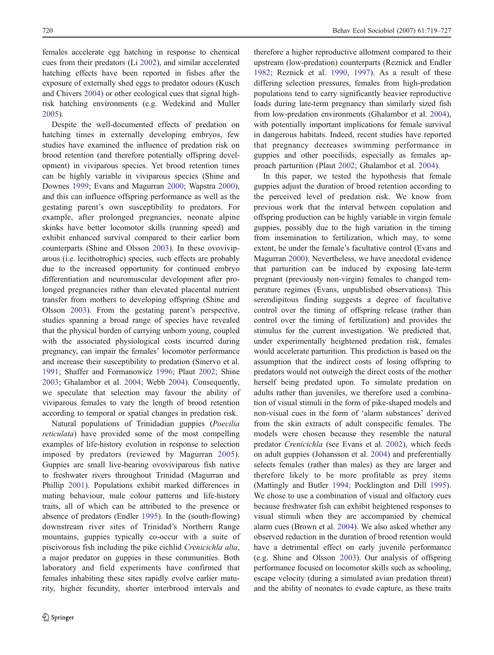females accelerate egg hatching in response to chemical cues from their predators (Li [2002\)](#page-7-0), and similar accelerated hatching effects have been reported in fishes after the exposure of externally shed eggs to predator odours (Kusch and Chivers [2004](#page-7-0)) or other ecological cues that signal highrisk hatching environments (e.g. Wedekind and Muller [2005\)](#page-8-0).

Despite the well-documented effects of predation on hatching times in externally developing embryos, few studies have examined the influence of predation risk on brood retention (and therefore potentially offspring development) in viviparous species. Yet brood retention times can be highly variable in viviparous species (Shine and Downes [1999](#page-8-0); Evans and Magurran [2000](#page-7-0); Wapstra [2000](#page-8-0)), and this can influence offspring performance as well as the gestating parent's own susceptibility to predators. For example, after prolonged pregnancies, neonate alpine skinks have better locomotor skills (running speed) and exhibit enhanced survival compared to their earlier born counterparts (Shine and Olsson [2003\)](#page-8-0). In these ovoviviparous (i.e. lecithotrophic) species, such effects are probably due to the increased opportunity for continued embryo differentiation and neuromuscular development after prolonged pregnancies rather than elevated placental nutrient transfer from mothers to developing offspring (Shine and Olsson [2003\)](#page-8-0). From the gestating parent's perspective, studies spanning a broad range of species have revealed that the physical burden of carrying unborn young, coupled with the associated physiological costs incurred during pregnancy, can impair the females' locomotor performance and increase their susceptibility to predation (Sinervo et al. [1991;](#page-8-0) Shaffer and Formanowicz [1996](#page-8-0); Plaut [2002;](#page-7-0) Shine [2003;](#page-8-0) Ghalambor et al. [2004;](#page-7-0) Webb [2004](#page-8-0)). Consequently, we speculate that selection may favour the ability of viviparous females to vary the length of brood retention according to temporal or spatial changes in predation risk.

Natural populations of Trinidadian guppies (Poecilia reticulata) have provided some of the most compelling examples of life-history evolution in response to selection imposed by predators (reviewed by Magurran [2005](#page-7-0)). Guppies are small live-bearing ovoviviparous fish native to freshwater rivers throughout Trinidad (Magurran and Phillip [2001](#page-7-0)). Populations exhibit marked differences in mating behaviour, male colour patterns and life-history traits, all of which can be attributed to the presence or absence of predators (Endler [1995\)](#page-7-0). In the (south-flowing) downstream river sites of Trinidad's Northern Range mountains, guppies typically co-occur with a suite of piscivorous fish including the pike cichlid Crenicichla alta, a major predator on guppies in these communities. Both laboratory and field experiments have confirmed that females inhabiting these sites rapidly evolve earlier maturity, higher fecundity, shorter interbrood intervals and

therefore a higher reproductive allotment compared to their upstream (low-predation) counterparts (Reznick and Endler [1982](#page-7-0); Reznick et al. [1990,](#page-7-0) [1997\)](#page-8-0). As a result of these differing selection pressures, females from high-predation populations tend to carry significantly heavier reproductive loads during late-term pregnancy than similarly sized fish from low-predation environments (Ghalambor et al. [2004\)](#page-7-0), with potentially important implications for female survival in dangerous habitats. Indeed, recent studies have reported that pregnancy decreases swimming performance in guppies and other poeciliids, especially as females approach parturition (Plaut [2002;](#page-7-0) Ghalambor et al. [2004\)](#page-7-0).

In this paper, we tested the hypothesis that female guppies adjust the duration of brood retention according to the perceived level of predation risk. We know from previous work that the interval between copulation and offspring production can be highly variable in virgin female guppies, possibly due to the high variation in the timing from insemination to fertilization, which may, to some extent, be under the female's facultative control (Evans and Magurran [2000\)](#page-7-0). Nevertheless, we have anecdotal evidence that parturition can be induced by exposing late-term pregnant (previously non-virgin) females to changed temperature regimes (Evans, unpublished observations). This serendipitous finding suggests a degree of facultative control over the timing of offspring release (rather than control over the timing of fertilization) and provides the stimulus for the current investigation. We predicted that, under experimentally heightened predation risk, females would accelerate parturition. This prediction is based on the assumption that the indirect costs of losing offspring to predators would not outweigh the direct costs of the mother herself being predated upon. To simulate predation on adults rather than juveniles, we therefore used a combination of visual stimuli in the form of pike-shaped models and non-visual cues in the form of 'alarm substances' derived from the skin extracts of adult conspecific females. The models were chosen because they resemble the natural predator Crenicichla (see Evans et al. [2002\)](#page-7-0), which feeds on adult guppies (Johansson et al. [2004](#page-7-0)) and preferentially selects females (rather than males) as they are larger and therefore likely to be more profitable as prey items (Mattingly and Butler [1994;](#page-7-0) Pocklington and Dill [1995\)](#page-7-0). We chose to use a combination of visual and olfactory cues because freshwater fish can exhibit heightened responses to visual stimuli when they are accompanied by chemical alarm cues (Brown et al. [2004\)](#page-7-0). We also asked whether any observed reduction in the duration of brood retention would have a detrimental effect on early juvenile performance (e.g. Shine and Olsson [2003\)](#page-8-0). Our analysis of offspring performance focused on locomotor skills such as schooling, escape velocity (during a simulated avian predation threat) and the ability of neonates to evade capture, as these traits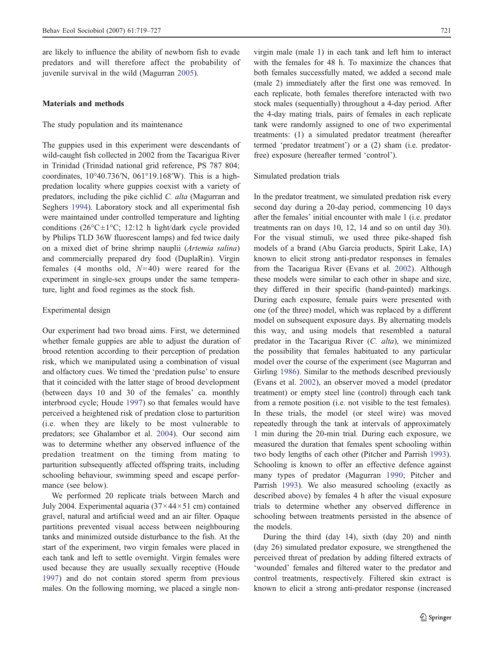are likely to influence the ability of newborn fish to evade predators and will therefore affect the probability of juvenile survival in the wild (Magurran [2005\)](#page-7-0).

#### Materials and methods

#### The study population and its maintenance

The guppies used in this experiment were descendants of wild-caught fish collected in 2002 from the Tacarigua River in Trinidad (Trinidad national grid reference, PS 787 804; coordinates, 10°40.736′N, 061°19.168′W). This is a highpredation locality where guppies coexist with a variety of predators, including the pike cichlid C. alta (Magurran and Seghers [1994](#page-7-0)). Laboratory stock and all experimental fish were maintained under controlled temperature and lighting conditions ( $26^{\circ}$ C $\pm$ 1°C; 12:12 h light/dark cycle provided by Philips TLD 36W fluorescent lamps) and fed twice daily on a mixed diet of brine shrimp nauplii (Artemia salina) and commercially prepared dry food (DuplaRin). Virgin females (4 months old,  $N=40$ ) were reared for the experiment in single-sex groups under the same temperature, light and food regimes as the stock fish.

#### Experimental design

Our experiment had two broad aims. First, we determined whether female guppies are able to adjust the duration of brood retention according to their perception of predation risk, which we manipulated using a combination of visual and olfactory cues. We timed the 'predation pulse' to ensure that it coincided with the latter stage of brood development (between days 10 and 30 of the females' ca. monthly interbrood cycle; Houde [1997\)](#page-7-0) so that females would have perceived a heightened risk of predation close to parturition (i.e. when they are likely to be most vulnerable to predators; see Ghalambor et al. [2004\)](#page-7-0). Our second aim was to determine whether any observed influence of the predation treatment on the timing from mating to parturition subsequently affected offspring traits, including schooling behaviour, swimming speed and escape performance (see below).

We performed 20 replicate trials between March and July 2004. Experimental aquaria  $(37 \times 44 \times 51$  cm) contained gravel, natural and artificial weed and an air filter. Opaque partitions prevented visual access between neighbouring tanks and minimized outside disturbance to the fish. At the start of the experiment, two virgin females were placed in each tank and left to settle overnight. Virgin females were used because they are usually sexually receptive (Houde [1997\)](#page-7-0) and do not contain stored sperm from previous males. On the following morning, we placed a single non-

virgin male (male 1) in each tank and left him to interact with the females for 48 h. To maximize the chances that both females successfully mated, we added a second male (male 2) immediately after the first one was removed. In each replicate, both females therefore interacted with two stock males (sequentially) throughout a 4-day period. After the 4-day mating trials, pairs of females in each replicate tank were randomly assigned to one of two experimental treatments: (1) a simulated predator treatment (hereafter termed 'predator treatment') or a (2) sham (i.e. predatorfree) exposure (hereafter termed 'control').

#### Simulated predation trials

In the predator treatment, we simulated predation risk every second day during a 20-day period, commencing 10 days after the females' initial encounter with male 1 (i.e. predator treatments ran on days 10, 12, 14 and so on until day 30). For the visual stimuli, we used three pike-shaped fish models of a brand (Abu Garcia products, Spirit Lake, IA) known to elicit strong anti-predator responses in females from the Tacarigua River (Evans et al. [2002](#page-7-0)). Although these models were similar to each other in shape and size, they differed in their specific (hand-painted) markings. During each exposure, female pairs were presented with one (of the three) model, which was replaced by a different model on subsequent exposure days. By alternating models this way, and using models that resembled a natural predator in the Tacarigua River (C. alta), we minimized the possibility that females habituated to any particular model over the course of the experiment (see Magurran and Girling [1986\)](#page-7-0). Similar to the methods described previously (Evans et al. [2002](#page-7-0)), an observer moved a model (predator treatment) or empty steel line (control) through each tank from a remote position (i.e. not visible to the test females). In these trials, the model (or steel wire) was moved repeatedly through the tank at intervals of approximately 1 min during the 20-min trial. During each exposure, we measured the duration that females spent schooling within two body lengths of each other (Pitcher and Parrish [1993\)](#page-7-0). Schooling is known to offer an effective defence against many types of predator (Magurran [1990](#page-7-0); Pitcher and Parrish [1993\)](#page-7-0). We also measured schooling (exactly as described above) by females 4 h after the visual exposure trials to determine whether any observed difference in schooling between treatments persisted in the absence of the models.

During the third (day 14), sixth (day 20) and ninth (day 26) simulated predator exposure, we strengthened the perceived threat of predation by adding filtered extracts of 'wounded' females and filtered water to the predator and control treatments, respectively. Filtered skin extract is known to elicit a strong anti-predator response (increased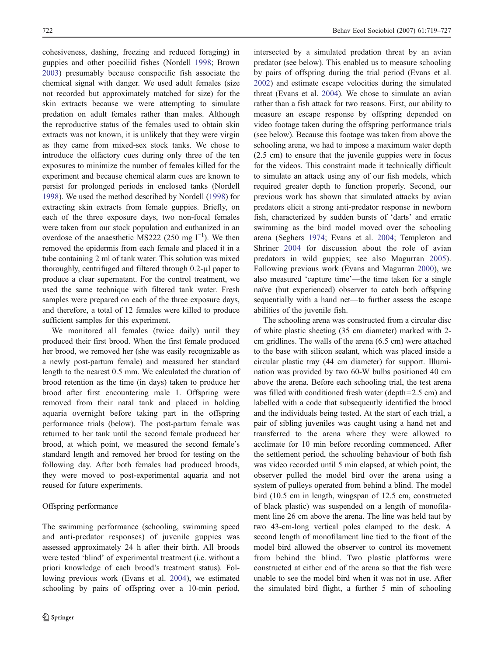cohesiveness, dashing, freezing and reduced foraging) in guppies and other poeciliid fishes (Nordell [1998;](#page-7-0) Brown [2003\)](#page-7-0) presumably because conspecific fish associate the chemical signal with danger. We used adult females (size not recorded but approximately matched for size) for the skin extracts because we were attempting to simulate predation on adult females rather than males. Although the reproductive status of the females used to obtain skin extracts was not known, it is unlikely that they were virgin as they came from mixed-sex stock tanks. We chose to introduce the olfactory cues during only three of the ten exposures to minimize the number of females killed for the experiment and because chemical alarm cues are known to persist for prolonged periods in enclosed tanks (Nordell [1998\)](#page-7-0). We used the method described by Nordell ([1998\)](#page-7-0) for extracting skin extracts from female guppies. Briefly, on each of the three exposure days, two non-focal females were taken from our stock population and euthanized in an overdose of the anaesthetic MS222 (250 mg  $l^{-1}$ ). We then removed the epidermis from each female and placed it in a tube containing 2 ml of tank water. This solution was mixed thoroughly, centrifuged and filtered through 0.2-μl paper to produce a clear supernatant. For the control treatment, we used the same technique with filtered tank water. Fresh samples were prepared on each of the three exposure days, and therefore, a total of 12 females were killed to produce sufficient samples for this experiment.

We monitored all females (twice daily) until they produced their first brood. When the first female produced her brood, we removed her (she was easily recognizable as a newly post-partum female) and measured her standard length to the nearest 0.5 mm. We calculated the duration of brood retention as the time (in days) taken to produce her brood after first encountering male 1. Offspring were removed from their natal tank and placed in holding aquaria overnight before taking part in the offspring performance trials (below). The post-partum female was returned to her tank until the second female produced her brood, at which point, we measured the second female's standard length and removed her brood for testing on the following day. After both females had produced broods, they were moved to post-experimental aquaria and not reused for future experiments.

## Offspring performance

The swimming performance (schooling, swimming speed and anti-predator responses) of juvenile guppies was assessed approximately 24 h after their birth. All broods were tested 'blind' of experimental treatment (i.e. without a priori knowledge of each brood's treatment status). Following previous work (Evans et al. [2004\)](#page-7-0), we estimated schooling by pairs of offspring over a 10-min period,

intersected by a simulated predation threat by an avian predator (see below). This enabled us to measure schooling by pairs of offspring during the trial period (Evans et al. [2002](#page-7-0)) and estimate escape velocities during the simulated threat (Evans et al. [2004\)](#page-7-0). We chose to simulate an avian rather than a fish attack for two reasons. First, our ability to measure an escape response by offspring depended on video footage taken during the offspring performance trials (see below). Because this footage was taken from above the schooling arena, we had to impose a maximum water depth (2.5 cm) to ensure that the juvenile guppies were in focus for the videos. This constraint made it technically difficult to simulate an attack using any of our fish models, which required greater depth to function properly. Second, our previous work has shown that simulated attacks by avian predators elicit a strong anti-predator response in newborn fish, characterized by sudden bursts of 'darts' and erratic swimming as the bird model moved over the schooling arena (Seghers [1974;](#page-8-0) Evans et al. [2004](#page-7-0); Templeton and Shriner [2004](#page-8-0) for discussion about the role of avian predators in wild guppies; see also Magurran [2005](#page-7-0)). Following previous work (Evans and Magurran [2000](#page-7-0)), we also measured 'capture time'—the time taken for a single naïve (but experienced) observer to catch both offspring sequentially with a hand net—to further assess the escape abilities of the juvenile fish.

The schooling arena was constructed from a circular disc of white plastic sheeting (35 cm diameter) marked with 2 cm gridlines. The walls of the arena (6.5 cm) were attached to the base with silicon sealant, which was placed inside a circular plastic tray (44 cm diameter) for support. Illumination was provided by two 60-W bulbs positioned 40 cm above the arena. Before each schooling trial, the test arena was filled with conditioned fresh water (depth=2.5 cm) and labelled with a code that subsequently identified the brood and the individuals being tested. At the start of each trial, a pair of sibling juveniles was caught using a hand net and transferred to the arena where they were allowed to acclimate for 10 min before recording commenced. After the settlement period, the schooling behaviour of both fish was video recorded until 5 min elapsed, at which point, the observer pulled the model bird over the arena using a system of pulleys operated from behind a blind. The model bird (10.5 cm in length, wingspan of 12.5 cm, constructed of black plastic) was suspended on a length of monofilament line 26 cm above the arena. The line was held taut by two 43-cm-long vertical poles clamped to the desk. A second length of monofilament line tied to the front of the model bird allowed the observer to control its movement from behind the blind. Two plastic platforms were constructed at either end of the arena so that the fish were unable to see the model bird when it was not in use. After the simulated bird flight, a further 5 min of schooling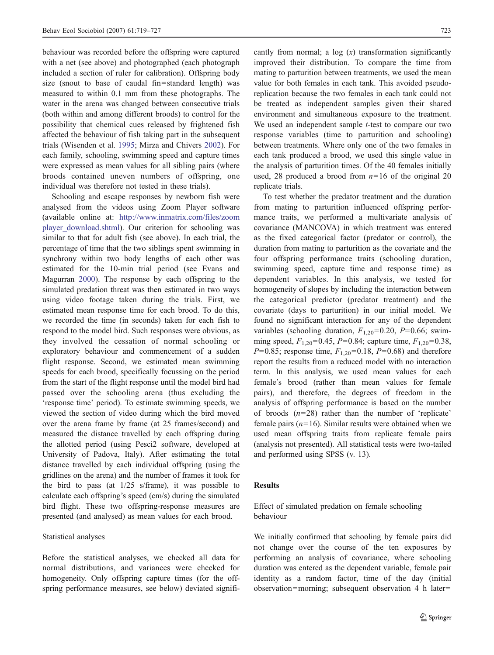behaviour was recorded before the offspring were captured with a net (see above) and photographed (each photograph included a section of ruler for calibration). Offspring body size (snout to base of caudal fin=standard length) was measured to within 0.1 mm from these photographs. The water in the arena was changed between consecutive trials (both within and among different broods) to control for the possibility that chemical cues released by frightened fish affected the behaviour of fish taking part in the subsequent trials (Wisenden et al. [1995](#page-8-0); Mirza and Chivers [2002\)](#page-7-0). For each family, schooling, swimming speed and capture times were expressed as mean values for all sibling pairs (where broods contained uneven numbers of offspring, one individual was therefore not tested in these trials).

Schooling and escape responses by newborn fish were analysed from the videos using Zoom Player software (available online at: [http://www.inmatrix.com/files/zoom](http://www.inmatrix.com/files/zoomplayer_download.shtml) [player\\_download.shtml](http://www.inmatrix.com/files/zoomplayer_download.shtml)). Our criterion for schooling was similar to that for adult fish (see above). In each trial, the percentage of time that the two siblings spent swimming in synchrony within two body lengths of each other was estimated for the 10-min trial period (see Evans and Magurran [2000\)](#page-7-0). The response by each offspring to the simulated predation threat was then estimated in two ways using video footage taken during the trials. First, we estimated mean response time for each brood. To do this, we recorded the time (in seconds) taken for each fish to respond to the model bird. Such responses were obvious, as they involved the cessation of normal schooling or exploratory behaviour and commencement of a sudden flight response. Second, we estimated mean swimming speeds for each brood, specifically focussing on the period from the start of the flight response until the model bird had passed over the schooling arena (thus excluding the 'response time' period). To estimate swimming speeds, we viewed the section of video during which the bird moved over the arena frame by frame (at 25 frames/second) and measured the distance travelled by each offspring during the allotted period (using Pesci2 software, developed at University of Padova, Italy). After estimating the total distance travelled by each individual offspring (using the gridlines on the arena) and the number of frames it took for the bird to pass (at 1/25 s/frame), it was possible to calculate each offspring's speed (cm/s) during the simulated bird flight. These two offspring-response measures are presented (and analysed) as mean values for each brood.

## Statistical analyses

Before the statistical analyses, we checked all data for normal distributions, and variances were checked for homogeneity. Only offspring capture times (for the offspring performance measures, see below) deviated signifi-

cantly from normal; a log  $(x)$  transformation significantly improved their distribution. To compare the time from mating to parturition between treatments, we used the mean value for both females in each tank. This avoided pseudoreplication because the two females in each tank could not be treated as independent samples given their shared environment and simultaneous exposure to the treatment. We used an independent sample *t*-test to compare our two response variables (time to parturition and schooling) between treatments. Where only one of the two females in each tank produced a brood, we used this single value in the analysis of parturition times. Of the 40 females initially used, 28 produced a brood from  $n=16$  of the original 20 replicate trials.

To test whether the predator treatment and the duration from mating to parturition influenced offspring performance traits, we performed a multivariate analysis of covariance (MANCOVA) in which treatment was entered as the fixed categorical factor (predator or control), the duration from mating to parturition as the covariate and the four offspring performance traits (schooling duration, swimming speed, capture time and response time) as dependent variables. In this analysis, we tested for homogeneity of slopes by including the interaction between the categorical predictor (predator treatment) and the covariate (days to parturition) in our initial model. We found no significant interaction for any of the dependent variables (schooling duration,  $F_{1,20}$ =0.20, P=0.66; swimming speed,  $F_{1,20}$ =0.45, P=0.84; capture time,  $F_{1,20}$ =0.38,  $P=0.85$ ; response time,  $F_{1,20}=0.18$ ,  $P=0.68$ ) and therefore report the results from a reduced model with no interaction term. In this analysis, we used mean values for each female's brood (rather than mean values for female pairs), and therefore, the degrees of freedom in the analysis of offspring performance is based on the number of broods  $(n=28)$  rather than the number of 'replicate' female pairs  $(n=16)$ . Similar results were obtained when we used mean offspring traits from replicate female pairs (analysis not presented). All statistical tests were two-tailed and performed using SPSS (v. 13).

## Results

# Effect of simulated predation on female schooling behaviour

We initially confirmed that schooling by female pairs did not change over the course of the ten exposures by performing an analysis of covariance, where schooling duration was entered as the dependent variable, female pair identity as a random factor, time of the day (initial observation=morning; subsequent observation 4 h later=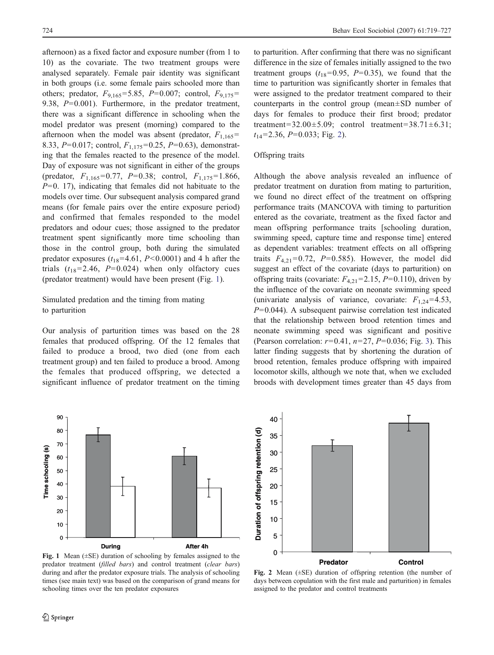afternoon) as a fixed factor and exposure number (from 1 to 10) as the covariate. The two treatment groups were analysed separately. Female pair identity was significant in both groups (i.e. some female pairs schooled more than others; predator,  $F_{9,165} = 5.85$ ,  $P = 0.007$ ; control,  $F_{9,175} =$ 9.38,  $P=0.001$ ). Furthermore, in the predator treatment, there was a significant difference in schooling when the model predator was present (morning) compared to the afternoon when the model was absent (predator,  $F_{1,165}$ = 8.33,  $P=0.017$ ; control,  $F_{1,175}=0.25$ ,  $P=0.63$ ), demonstrating that the females reacted to the presence of the model. Day of exposure was not significant in either of the groups (predator,  $F_{1,165} = 0.77$ ,  $P = 0.38$ ; control,  $F_{1,175} = 1.866$ ,  $P=0.$  17), indicating that females did not habituate to the models over time. Our subsequent analysis compared grand means (for female pairs over the entire exposure period) and confirmed that females responded to the model predators and odour cues; those assigned to the predator treatment spent significantly more time schooling than those in the control group, both during the simulated predator exposures  $(t_{18}=4.61, P<0.0001)$  and 4 h after the trials  $(t_{18}=2.46, P=0.024)$  when only olfactory cues (predator treatment) would have been present (Fig. 1).

# Simulated predation and the timing from mating to parturition

Our analysis of parturition times was based on the 28 females that produced offspring. Of the 12 females that failed to produce a brood, two died (one from each treatment group) and ten failed to produce a brood. Among the females that produced offspring, we detected a significant influence of predator treatment on the timing

to parturition. After confirming that there was no significant difference in the size of females initially assigned to the two treatment groups  $(t_{18}=0.95, P=0.35)$ , we found that the time to parturition was significantly shorter in females that were assigned to the predator treatment compared to their counterparts in the control group (mean±SD number of days for females to produce their first brood; predator treatment= $32.00\pm5.09$ ; control treatment= $38.71\pm6.31$ ;  $t_{14}$ =2.36, P=0.033; Fig. 2).

## Offspring traits

Although the above analysis revealed an influence of predator treatment on duration from mating to parturition, we found no direct effect of the treatment on offspring performance traits (MANCOVA with timing to parturition entered as the covariate, treatment as the fixed factor and mean offspring performance traits [schooling duration, swimming speed, capture time and response time] entered as dependent variables: treatment effects on all offspring traits  $F_{4,21}=0.72$ ,  $P=0.585$ ). However, the model did suggest an effect of the covariate (days to parturition) on offspring traits (covariate:  $F_{4,21}$ =2.15, P=0.110), driven by the influence of the covariate on neonate swimming speed (univariate analysis of variance, covariate:  $F_{1,24} = 4.53$ ,  $P=0.044$ ). A subsequent pairwise correlation test indicated that the relationship between brood retention times and neonate swimming speed was significant and positive (Pearson correlation:  $r=0.41$ ,  $n=27$ ,  $P=0.036$  $P=0.036$  $P=0.036$ ; Fig. 3). This latter finding suggests that by shortening the duration of brood retention, females produce offspring with impaired locomotor skills, although we note that, when we excluded broods with development times greater than 45 days from



40 Duration of offspring retention (d) **Duration of offspring retention (d)** 35 30 25 20 15 10 5 0 **Predator Control**

Fig. 1 Mean  $(\pm SE)$  duration of schooling by females assigned to the predator treatment (filled bars) and control treatment (clear bars) during and after the predator exposure trials. The analysis of schooling times (see main text) was based on the comparison of grand means for schooling times over the ten predator exposures

Fig. 2 Mean (±SE) duration of offspring retention (the number of days between copulation with the first male and parturition) in females assigned to the predator and control treatments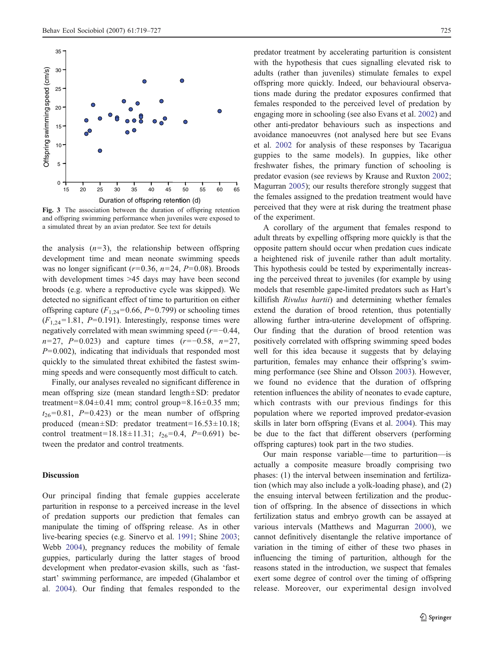<span id="page-6-0"></span>

Fig. 3 The association between the duration of offspring retention and offspring swimming performance when juveniles were exposed to a simulated threat by an avian predator. See text for details

the analysis  $(n=3)$ , the relationship between offspring development time and mean neonate swimming speeds was no longer significant ( $r=0.36$ ,  $n=24$ ,  $P=0.08$ ). Broods with development times >45 days may have been second broods (e.g. where a reproductive cycle was skipped). We detected no significant effect of time to parturition on either offspring capture  $(F_{1,24}=0.66, P=0.799)$  or schooling times  $(F_{1,24}=1.81, P=0.191)$ . Interestingly, response times were negatively correlated with mean swimming speed (r=−0.44,  $n=27$ ,  $P=0.023$ ) and capture times ( $r=-0.58$ ,  $n=27$ ,  $P=0.002$ ), indicating that individuals that responded most quickly to the simulated threat exhibited the fastest swimming speeds and were consequently most difficult to catch.

Finally, our analyses revealed no significant difference in mean offspring size (mean standard length±SD: predator treatment=8.04 $\pm$ 0.41 mm; control group=8.16 $\pm$ 0.35 mm;  $t_{26}=0.81$ ,  $P=0.423$ ) or the mean number of offspring produced (mean±SD: predator treatment=16.53±10.18; control treatment=18.18±11.31;  $t_{26}$ =0.4, P=0.691) between the predator and control treatments.

#### Discussion

Our principal finding that female guppies accelerate parturition in response to a perceived increase in the level of predation supports our prediction that females can manipulate the timing of offspring release. As in other live-bearing species (e.g. Sinervo et al. [1991;](#page-8-0) Shine [2003](#page-8-0); Webb [2004](#page-8-0)), pregnancy reduces the mobility of female guppies, particularly during the latter stages of brood development when predator-evasion skills, such as 'faststart' swimming performance, are impeded (Ghalambor et al. [2004](#page-7-0)). Our finding that females responded to the predator treatment by accelerating parturition is consistent with the hypothesis that cues signalling elevated risk to adults (rather than juveniles) stimulate females to expel offspring more quickly. Indeed, our behavioural observations made during the predator exposures confirmed that females responded to the perceived level of predation by engaging more in schooling (see also Evans et al. [2002](#page-7-0)) and other anti-predator behaviours such as inspections and avoidance manoeuvres (not analysed here but see Evans et al. [2002](#page-7-0) for analysis of these responses by Tacarigua guppies to the same models). In guppies, like other freshwater fishes, the primary function of schooling is predator evasion (see reviews by Krause and Ruxton [2002;](#page-7-0) Magurran [2005](#page-7-0)); our results therefore strongly suggest that the females assigned to the predation treatment would have perceived that they were at risk during the treatment phase of the experiment.

A corollary of the argument that females respond to adult threats by expelling offspring more quickly is that the opposite pattern should occur when predation cues indicate a heightened risk of juvenile rather than adult mortality. This hypothesis could be tested by experimentally increasing the perceived threat to juveniles (for example by using models that resemble gape-limited predators such as Hart's killifish Rivulus hartii) and determining whether females extend the duration of brood retention, thus potentially allowing further intra-uterine development of offspring. Our finding that the duration of brood retention was positively correlated with offspring swimming speed bodes well for this idea because it suggests that by delaying parturition, females may enhance their offspring's swimming performance (see Shine and Olsson [2003\)](#page-8-0). However, we found no evidence that the duration of offspring retention influences the ability of neonates to evade capture, which contrasts with our previous findings for this population where we reported improved predator-evasion skills in later born offspring (Evans et al. [2004](#page-7-0)). This may be due to the fact that different observers (performing offspring captures) took part in the two studies.

Our main response variable—time to parturition—is actually a composite measure broadly comprising two phases: (1) the interval between insemination and fertilization (which may also include a yolk-loading phase), and (2) the ensuing interval between fertilization and the production of offspring. In the absence of dissections in which fertilization status and embryo growth can be assayed at various intervals (Matthews and Magurran [2000](#page-7-0)), we cannot definitively disentangle the relative importance of variation in the timing of either of these two phases in influencing the timing of parturition, although for the reasons stated in the introduction, we suspect that females exert some degree of control over the timing of offspring release. Moreover, our experimental design involved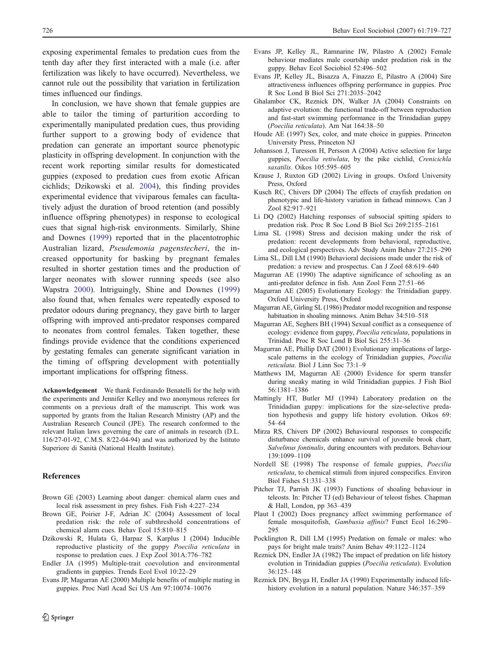<span id="page-7-0"></span>exposing experimental females to predation cues from the tenth day after they first interacted with a male (i.e. after fertilization was likely to have occurred). Nevertheless, we cannot rule out the possibility that variation in fertilization times influenced our findings.

In conclusion, we have shown that female guppies are able to tailor the timing of parturition according to experimentally manipulated predation cues, thus providing further support to a growing body of evidence that predation can generate an important source phenotypic plasticity in offspring development. In conjunction with the recent work reporting similar results for domesticated guppies (exposed to predation cues from exotic African cichlids; Dzikowski et al. 2004), this finding provides experimental evidence that viviparous females can facultatively adjust the duration of brood retention (and possibly influence offspring phenotypes) in response to ecological cues that signal high-risk environments. Similarly, Shine and Downes [\(1999](#page-8-0)) reported that in the placentotrophic Australian lizard, Pseudemonia pagenstecheri, the increased opportunity for basking by pregnant females resulted in shorter gestation times and the production of larger neonates with slower running speeds (see also Wapstra [2000](#page-8-0)). Intriguingly, Shine and Downes ([1999\)](#page-8-0) also found that, when females were repeatedly exposed to predator odours during pregnancy, they gave birth to larger offspring with improved anti-predator responses compared to neonates from control females. Taken together, these findings provide evidence that the conditions experienced by gestating females can generate significant variation in the timing of offspring development with potentially important implications for offspring fitness.

Acknowledgement We thank Ferdinando Benatelli for the help with the experiments and Jennifer Kelley and two anonymous referees for comments on a previous draft of the manuscript. This work was supported by grants from the Italian Research Ministry (AP) and the Australian Research Council (JPE). The research conformed to the relevant Italian laws governing the care of animals in research (D.L. 116/27-01-92, C.M.S. 8/22-04-94) and was authorized by the Istituto Superiore di Sanità (National Health Institute).

#### References

- Brown GE (2003) Learning about danger: chemical alarm cues and local risk assessment in prey fishes. Fish Fish 4:227–234
- Brown GE, Poirier J-F, Adrian JC (2004) Assessment of local predation risk: the role of subthreshold concentrations of chemical alarm cues. Behav Ecol 15:810–815
- Dzikowski R, Hulata G, Harpaz S, Karplus I (2004) Inducible reproductive plasticity of the guppy Poecilia reticulata in response to predation cues. J Exp Zool 301A:776–782
- Endler JA (1995) Multiple-trait coevolution and environmental gradients in guppies. Trends Ecol Evol 10:22–29
- Evans JP, Magurran AE (2000) Multiple benefits of multiple mating in guppies. Proc Natl Acad Sci US Am 97:10074–10076
- Evans JP, Kelley JL, Ramnarine IW, Pilastro A (2002) Female behaviour mediates male courtship under predation risk in the guppy. Behav Ecol Sociobiol 52:496–502
- Evans JP, Kelley JL, Bisazza A, Finazzo E, Pilastro A (2004) Sire attractiveness influences offspring performance in guppies. Proc R Soc Lond B Biol Sci 271:2035–2042
- Ghalambor CK, Reznick DN, Walker JA (2004) Constraints on adaptive evolution: the functional trade-off between reproduction and fast-start swimming performance in the Trinidadian guppy (Poecilia reticulata). Am Nat 164:38–50
- Houde AE (1997) Sex, color, and mate choice in guppies. Princeton University Press, Princeton NJ
- Johansson J, Turesson H, Persson A (2004) Active selection for large guppies, Poecilia retiwlata, by the pike cichlid, Crenicichla saxatilis. Oikos 105:595–605
- Krause J, Ruxton GD (2002) Living in groups. Oxford University Press, Oxford
- Kusch RC, Chivers DP (2004) The effects of crayfish predation on phenotypic and life-history variation in fathead minnows. Can J Zool 82:917–921
- Li DQ (2002) Hatching responses of subsocial spitting spiders to predation risk. Proc R Soc Lond B Biol Sci 269:2155–2161
- Lima SL (1998) Stress and decision making under the risk of predation: recent developments from behavioral, reproductive, and ecological perspectives. Adv Study Anim Behav 27:215–290
- Lima SL, Dill LM (1990) Behavioral decisions made under the risk of predation: a review and prospectus. Can J Zool 68:619–640
- Magurran AE (1990) The adaptive significance of schooling as an anti-predator defence in fish. Ann Zool Fenn 27:51–66
- Magurran AE (2005) Evolutionary Ecology: the Trinidadian guppy. Oxford University Press, Oxford
- Magurran AE, Girling SL (1986) Predator model recognition and response habituation in shoaling minnows. Anim Behav 34:510–518
- Magurran AE, Seghers BH (1994) Sexual conflict as a consequence of ecology: evidence from guppy, Poecilia reticulata, populations in Trinidad. Proc R Soc Lond B Biol Sci 255:31–36
- Magurran AE, Phillip DAT (2001) Evolutionary implications of largescale patterns in the ecology of Trinidadian guppies, Poecilia reticulata. Biol J Linn Soc 73:1–9
- Matthews IM, Magurran AE (2000) Evidence for sperm transfer during sneaky mating in wild Trinidadian guppies. J Fish Biol 56:1381–1386
- Mattingly HT, Butler MJ (1994) Laboratory predation on the Trinidadian guppy: implications for the size-selective predation hypothesis and guppy life history evolution. Oikos 69: 54–64
- Mirza RS, Chivers DP (2002) Behavioural responses to conspecific disturbance chemicals enhance survival of juvenile brook charr, Salvelinus fontinalis, during encounters with predators. Behaviour 139:1099–1109
- Nordell SE (1998) The response of female guppies, Poecilia reticulata, to chemical stimuli from injured conspecifics. Environ Biol Fishes 51:331–338
- Pitcher TJ, Parrish JK (1993) Functions of shoaling behaviour in teleosts. In: Pitcher TJ (ed) Behaviour of teleost fishes. Chapman & Hall, London, pp 363–439
- Plaut I (2002) Does pregnancy affect swimming performance of female mosquitofish, Gambusia affinis? Funct Ecol 16:290– 295
- Pocklington R, Dill LM (1995) Predation on female or males: who pays for bright male traits? Anim Behav 49:1122–1124
- Reznick DN, Endler JA (1982) The impact of predation on life history evolution in Trinidadian guppies (Poecilia reticulata). Evolution 36:125–148
- Reznick DN, Bryga H, Endler JA (1990) Experimentally induced lifehistory evolution in a natural population. Nature 346:357–359